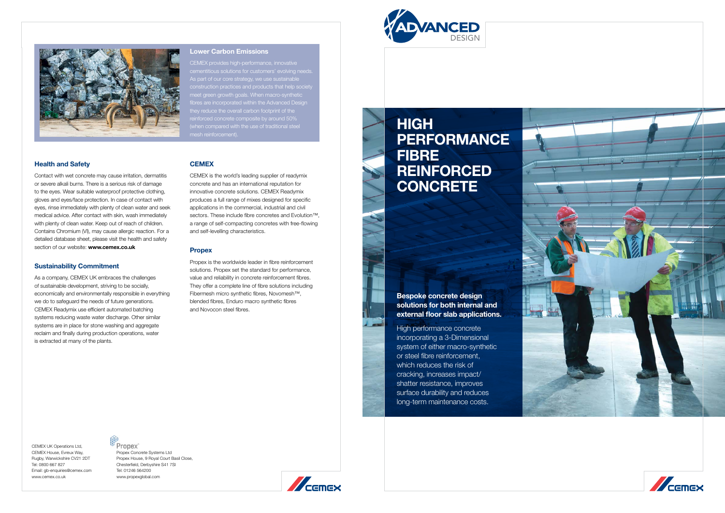#### Health and Safety

Contact with wet concrete may cause irritation, dermatitis or severe alkali burns. There is a serious risk of damage to the eyes. Wear suitable waterproof protective clothing, gloves and eyes/face protection. In case of contact with eyes, rinse immediately with plenty of clean water and seek medical advice. After contact with skin, wash immediately with plenty of clean water. Keep out of reach of children. Contains Chromium (VI), may cause allergic reaction. For a detailed database sheet, please visit the health and safety section of our website: www.cemex.co.uk

#### Sustainability Commitment

As a company, CEMEX UK embraces the challenges of sustainable development, striving to be socially, economically and environmentally responsible in everything we do to safeguard the needs of future generations. CEMEX Readymix use efficient automated batching systems reducing waste water discharge. Other similar systems are in place for stone washing and aggregate reclaim and finally during production operations, water is extracted at many of the plants.

### **CEMEX**

# **HIGH PERFORMANCE FIBRE REINFORCED** CONCRETE

Propex<sup>®</sup> Propex Concrete Systems Ltd Propex House, 9 Royal Court Basil Close, Chesterfield, Derbyshire S41 7SI Tel: 01246 564200 www.propexglobal.com







CEMEX is the world's leading supplier of readymix concrete and has an international reputation for innovative concrete solutions. CEMEX Readymix produces a full range of mixes designed for specific applications in the commercial, industrial and civil sectors. These include fibre concretes and Evolution<sup>™</sup>, a range of self-compacting concretes with free-flowing and self-levelling characteristics.

#### **Propex**

CEMEX provides high-performance, innovative ementitious solutions for customers' evolving needs. s part of our core strategy, we use sustainable construction practices and products that help society eet green growth goals. When macro-synthetic hey reduce the overall carbon footprint of the inforced concrete composite by around 50%

Propex is the worldwide leader in fibre reinforcement solutions. Propex set the standard for performance, value and reliability in concrete reinforcement fibres. They offer a complete line of fibre solutions including Fibermesh micro synthetic fibres, Novomesh™, blended fibres, Enduro macro synthetic fibres and Novocon steel fibres.

Bespoke concrete design solutions for both internal and external floor slab applications.

High performance concrete incorporating a 3-Dimensional system of either macro-synthetic or steel fibre reinforcement, which reduces the risk of cracking, increases impact/ shatter resistance, improves surface durability and reduces long-term maintenance costs.

CEMEX UK Operations Ltd, CEMEX House, Evreux Way, Rugby, Warwickshire CV21 2DT Tel: 0800 667 827 Email: gb-enquiries@cemex.com www.cemex.co.uk





# Lower Carbon Emissions